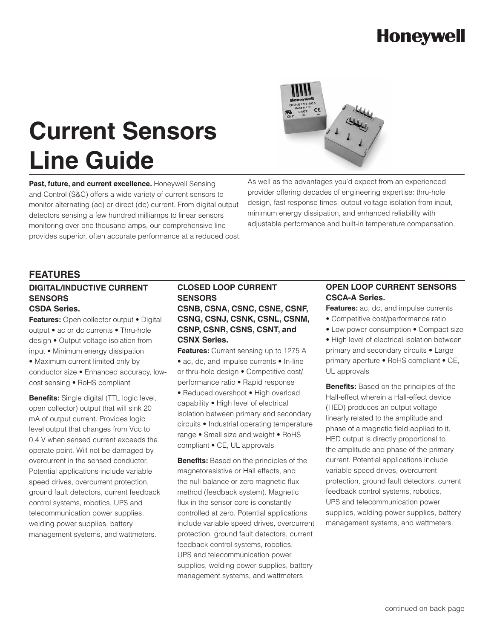# **Honeywell**

# **Current Sensors Line Guide**

Past, future, and current excellence. Honeywell Sensing and Control (S&C) offers a wide variety of current sensors to monitor alternating (ac) or direct (dc) current. From digital output detectors sensing a few hundred milliamps to linear sensors monitoring over one thousand amps, our comprehensive line provides superior, often accurate performance at a reduced cost. As well as the advantages you'd expect from an experienced provider offering decades of engineering expertise: thru-hole design, fast response times, output voltage isolation from input, minimum energy dissipation, and enhanced reliability with adjustable performance and built-in temperature compensation.

### **FEATURES**

#### **DIGITAL/INDUCTIVE CURRENT SENSORS CSDA Series.**

**Features:** Open collector output • Digital output • ac or dc currents • Thru-hole design • Output voltage isolation from input • Minimum energy dissipation • Maximum current limited only by

conductor size • Enhanced accuracy, lowcost sensing • RoHS compliant

**Benefits:** Single digital (TTL logic level, open collector) output that will sink 20 mA of output current. Provides logic level output that changes from Vcc to 0.4 V when sensed current exceeds the operate point. Will not be damaged by overcurrent in the sensed conductor. Potential applications include variable speed drives, overcurrent protection, ground fault detectors, current feedback control systems, robotics, UPS and telecommunication power supplies, welding power supplies, battery management systems, and wattmeters.

### **CLOSED LOOP CURRENT SENSORS CSNB, CSNA, CSNC, CSNE, CSNF, CSNG, CSNJ, CSNK, CSNL, CSNM, CSNP, CSNR, CSNS, CSNT, and**

#### **CSNX Series.**

**Features:** Current sensing up to 1275 A • ac, dc, and impulse currents • In-line or thru-hole design • Competitive cost/ performance ratio • Rapid response • Reduced overshoot • High overload capability • High level of electrical isolation between primary and secondary circuits • Industrial operating temperature range • Small size and weight • RoHS compliant • CE, UL approvals

**Benefits:** Based on the principles of the magnetoresistive or Hall effects, and the null balance or zero magnetic flux method (feedback system). Magnetic flux in the sensor core is constantly controlled at zero. Potential applications include variable speed drives, overcurrent protection, ground fault detectors, current feedback control systems, robotics, UPS and telecommunication power supplies, welding power supplies, battery management systems, and wattmeters.

### **OPEN LOOP CURRENT SENSORS CSCA-A Series.**

**Features:** ac, dc, and impulse currents • Competitive cost/performance ratio

• Low power consumption • Compact size

• High level of electrical isolation between primary and secondary circuits • Large primary aperture • RoHS compliant • CE, UL approvals

**Benefits:** Based on the principles of the Hall-effect wherein a Hall-effect device (HED) produces an output voltage linearly related to the amplitude and phase of a magnetic field applied to it. HED output is directly proportional to the amplitude and phase of the primary current. Potential applications include variable speed drives, overcurrent protection, ground fault detectors, current feedback control systems, robotics, UPS and telecommunication power supplies, welding power supplies, battery management systems, and wattmeters.

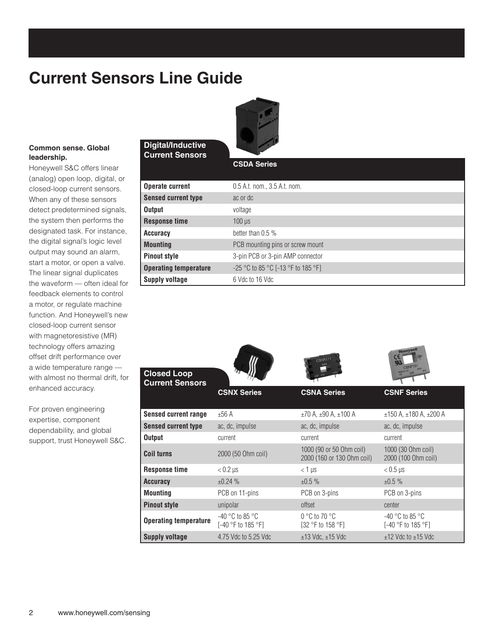### **Current Sensors Line Guide**

**Digital/Inductive Current Sensors**



### **Common sense. Global leadership.**

Honeywell S&C offers linear (analog) open loop, digital, or closed-loop current sensors. When any of these sensors detect predetermined signals, the system then performs the designated task. For instance, the digital signal's logic level output may sound an alarm, start a motor, or open a valve. The linear signal duplicates the waveform — often ideal for feedback elements to control a motor, or regulate machine function. And Honeywell's new closed-loop current sensor with magnetoresistive (MR) technology offers amazing offset drift performance over a wide temperature range with almost no thermal drift, for enhanced accuracy.

For proven engineering expertise, component dependability, and global support, trust Honeywell S&C.

#### **CSDA Series**

| <b>Operate current</b>       | 0.5 A.t. nom., 3.5 A.t. nom.       |
|------------------------------|------------------------------------|
| <b>Sensed current type</b>   | ac or dc                           |
| <b>Output</b>                | voltage                            |
| <b>Response time</b>         | $100$ $\mu$ s                      |
| Accuracy                     | better than $0.5\%$                |
| <b>Mounting</b>              | PCB mounting pins or screw mount   |
| <b>Pinout style</b>          | 3-pin PCB or 3-pin AMP connector   |
| <b>Operating temperature</b> | -25 °C to 85 °C [-13 °F to 185 °F] |
| Supply voltage               | 6 Vdc to 16 Vdc                    |

| <b>Closed Loop</b><br><b>Current Sensors</b> |                                                           | CNA11                                                  | <b>Honeywell</b><br>CSNF151<br>$1025 + V$<br>Made in UK O/P                |
|----------------------------------------------|-----------------------------------------------------------|--------------------------------------------------------|----------------------------------------------------------------------------|
|                                              | <b>CSNX Series</b>                                        | <b>CSNA Series</b>                                     | <b>CSNF Series</b>                                                         |
| <b>Sensed current range</b>                  | ±56A                                                      | $\pm$ 70 A, $\pm$ 90 A, $\pm$ 100 A                    | $\pm$ 150 A, $\pm$ 180 A, $\pm$ 200 A                                      |
| <b>Sensed current type</b>                   | ac, dc, impulse                                           | ac, dc, impulse                                        | ac, dc, impulse                                                            |
| <b>Output</b>                                | current                                                   | current                                                | current                                                                    |
| <b>Coil turns</b>                            | 2000 (50 Ohm coil)                                        | 1000 (90 or 50 Ohm coil)<br>2000 (160 or 130 Ohm coil) | 1000 (30 Ohm coil)<br>2000 (100 Ohm coil)                                  |
| <b>Response time</b>                         | $< 0.2$ µs                                                | $< 1 \mu s$                                            | $< 0.5 \,\mu s$                                                            |
| <b>Accuracy</b>                              | ±0.24%                                                    | ±0.5%                                                  | ±0.5%                                                                      |
| <b>Mounting</b>                              | PCB on 11-pins                                            | PCB on 3-pins                                          | PCB on 3-pins                                                              |
| <b>Pinout style</b>                          | unipolar                                                  | offset                                                 | center                                                                     |
| <b>Operating temperature</b>                 | $-40$ °C to 85 °C<br>[-40 $\degree$ F to 185 $\degree$ F] | $0^{\circ}$ C to 70 $^{\circ}$ C<br>[32 °F to 158 °F]  | $-40\,^{\circ}\mathrm{C}$ to 85 $^{\circ}\mathrm{C}$<br>[-40 °F to 185 °F] |
| <b>Supply voltage</b>                        | 4.75 Vdc to 5.25 Vdc                                      | $\pm$ 13 Vdc, $\pm$ 15 Vdc                             | $±12$ Vdc to $±15$ Vdc                                                     |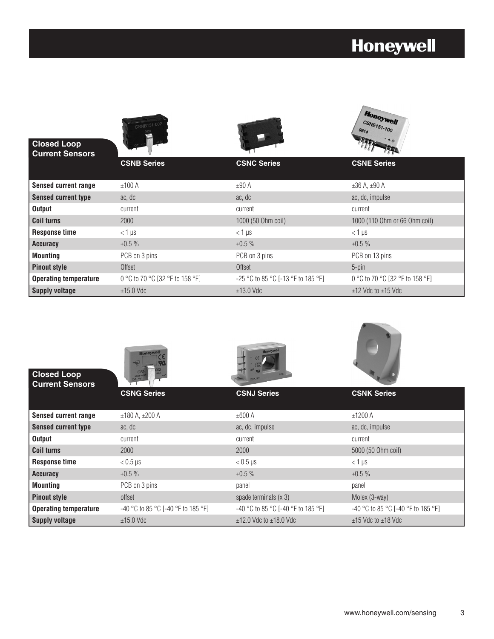# **Honeywell**

 $\sqrt{v}$ 

| <b>Closed Loop</b><br><b>Current Sensors</b> | CSNB131-002                     |                                    | <b>Headers</b><br><b>CSNE151-100</b><br>$*_{\circ}$ |
|----------------------------------------------|---------------------------------|------------------------------------|-----------------------------------------------------|
|                                              | <b>CSNB Series</b>              | <b>CSNC Series</b>                 | <b>CSNE Series</b>                                  |
| <b>Sensed current range</b>                  | ±100 A                          | ±90A                               | $±36$ A, $±90$ A                                    |
| <b>Sensed current type</b>                   | ac, dc                          | ac, dc                             | ac, dc, impulse                                     |
| <b>Output</b>                                | current                         | current                            | current                                             |
| <b>Coil turns</b>                            | 2000                            | 1000 (50 Ohm coil)                 | 1000 (110 Ohm or 66 Ohm coil)                       |
| <b>Response time</b>                         | $< 1 \mu s$                     | $<$ 1 µs                           | $<$ 1 µs                                            |
| <b>Accuracy</b>                              | ±0.5%                           | ±0.5%                              | ±0.5%                                               |
| <b>Mounting</b>                              | PCB on 3 pins                   | PCB on 3 pins                      | PCB on 13 pins                                      |
| <b>Pinout style</b>                          | Offset                          | Offset                             | $5$ -pin                                            |
| <b>Operating temperature</b>                 | 0 °C to 70 °C [32 °F to 158 °F] | -25 °C to 85 °C [-13 °F to 185 °F] | 0 °C to 70 °C [32 °F to 158 °F]                     |
| <b>Supply voltage</b>                        | $±15.0$ Vdc                     | $±13.0$ Vdc                        | $±12$ Vdc to $±15$ Vdc                              |

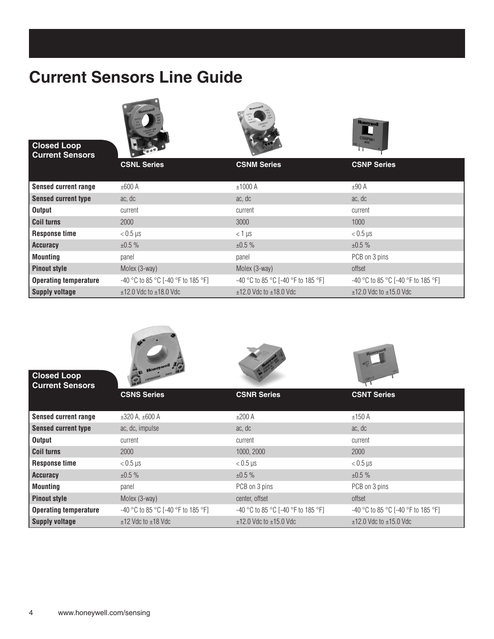### **Current Sensors Line Guide**



**Closed Loop Current Sensors**







|                              | <b>CSNL Series</b>                   | <b>CSNM Series</b>                   | <b>CSNP Series</b>                   |
|------------------------------|--------------------------------------|--------------------------------------|--------------------------------------|
| <b>Sensed current range</b>  | ±600 A                               | ±1000 A                              | $±90$ A                              |
| <b>Sensed current type</b>   | ac, dc                               | ac, dc                               | ac, dc                               |
| Output                       | current                              | current                              | current                              |
| <b>Coil turns</b>            | 2000                                 | 3000                                 | 1000                                 |
| <b>Response time</b>         | $< 0.5$ µs                           | $<$ 1 µs                             | $< 0.5$ µs                           |
| <b>Accuracy</b>              | ±0.5%                                | ±0.5%                                | ±0.5%                                |
| <b>Mounting</b>              | panel                                | panel                                | PCB on 3 pins                        |
| <b>Pinout style</b>          | Molex (3-way)                        | Molex (3-way)                        | offset                               |
| <b>Operating temperature</b> | $-40$ °C to 85 °C [-40 °F to 185 °F] | $-40$ °C to 85 °C [-40 °F to 185 °F] | $-40$ °C to 85 °C [-40 °F to 185 °F] |
| <b>Supply voltage</b>        | $±12.0$ Vdc to $±18.0$ Vdc           | $±12.0$ Vdc to $±18.0$ Vdc           | $±12.0$ Vdc to $±15.0$ Vdc           |



**Operating temperature** -40 °C to 85 °C [-40 °F to 185 °F] -40 °C to 85 °C [-40 °F to 185 °F] -40 °C to 85 °C [-40 °F to 185 °F]

**Supply voltage**  $\pm$ 12 Vdc to  $\pm$ 18 Vdc  $\pm$ 12.0 Vdc to  $\pm$ 12.0 Vdc to  $\pm$ 12.0 Vdc to  $\pm$ 12.0 Vdc to  $\pm$ 15.0 Vdc

**Pinout style Molex (3-way) Center, offset** offset offset offset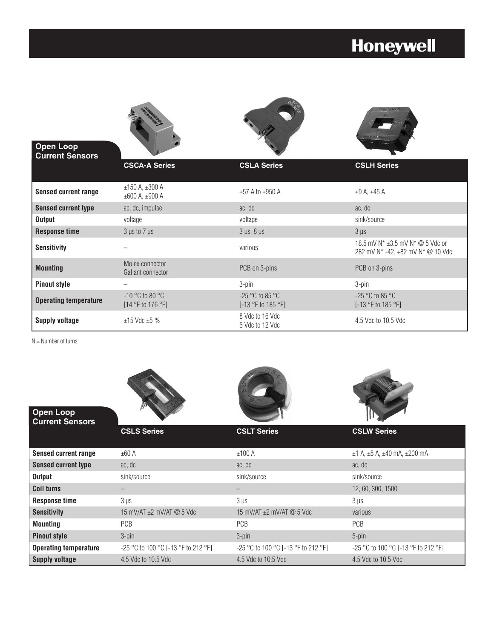### **Honeywell**



 $N =$  Number of turns

| Open Loop<br><b>Current Sensors</b> |                                        |                                     |                                     |
|-------------------------------------|----------------------------------------|-------------------------------------|-------------------------------------|
|                                     | <b>CSLS Series</b>                     | <b>CSLT Series</b>                  | <b>CSLW Series</b>                  |
| <b>Sensed current range</b>         | ±60 A                                  | ±100 A                              | $±1$ A, $±5$ A, $±40$ mA, $±200$ mA |
| <b>Sensed current type</b>          | ac, dc                                 | ac, dc                              | ac, dc                              |
| <b>Output</b>                       | sink/source                            | sink/source                         | sink/source                         |
| <b>Coil turns</b>                   |                                        |                                     | 12, 60, 300, 1500                   |
| <b>Response time</b>                | $3 \mu s$                              | $3 \mu s$                           | $3 \mu s$                           |
| <b>Sensitivity</b>                  | 15 mV/AT $\pm 2$ mV/AT $\oslash$ 5 Vdc | 15 mV/AT $\pm$ 2 mV/AT @ 5 Vdc      | various                             |
| <b>Mounting</b>                     | PCB                                    | PCB                                 | <b>PCB</b>                          |
| <b>Pinout style</b>                 | $3$ -pin                               | 3-pin                               | 5-pin                               |
| <b>Operating temperature</b>        | -25 °C to 100 °C [-13 °F to 212 °F]    | -25 °C to 100 °C [-13 °F to 212 °F] | -25 °C to 100 °C [-13 °F to 212 °F] |
| <b>Supply voltage</b>               | 4.5 Vdc to 10.5 Vdc                    | 4.5 Vdc to 10.5 Vdc                 | 4.5 Vdc to 10.5 Vdc                 |